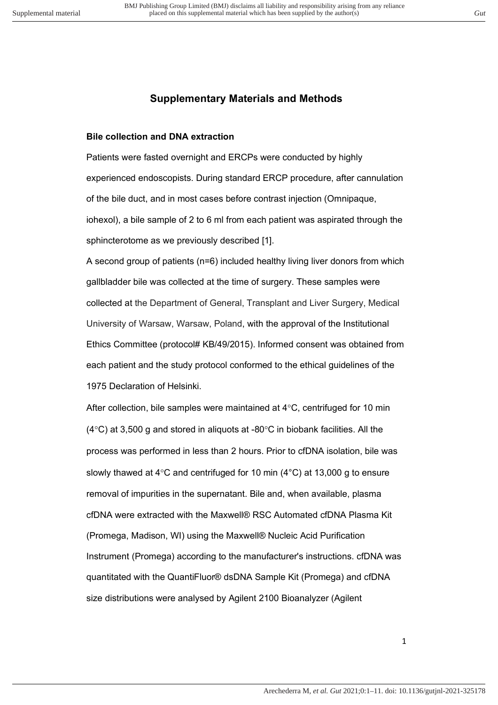## **Supplementary Materials and Methods**

#### **Bile collection and DNA extraction**

Patients were fasted overnight and ERCPs were conducted by highly experienced endoscopists. During standard ERCP procedure, after cannulation of the bile duct, and in most cases before contrast injection (Omnipaque, iohexol), a bile sample of 2 to 6 ml from each patient was aspirated through the sphincterotome as we previously described [1].

A second group of patients (n=6) included healthy living liver donors from which gallbladder bile was collected at the time of surgery. These samples were collected at the Department of General, Transplant and Liver Surgery, Medical University of Warsaw, Warsaw, Poland, with the approval of the Institutional Ethics Committee (protocol# KB/49/2015). Informed consent was obtained from each patient and the study protocol conformed to the ethical guidelines of the 1975 Declaration of Helsinki.

After collection, bile samples were maintained at 4°C, centrifuged for 10 min  $(4^{\circ}$ C) at 3,500 g and stored in aliquots at -80 $^{\circ}$ C in biobank facilities. All the process was performed in less than 2 hours. Prior to cfDNA isolation, bile was slowly thawed at 4°C and centrifuged for 10 min (4°C) at 13,000 g to ensure removal of impurities in the supernatant. Bile and, when available, plasma cfDNA were extracted with the Maxwell® RSC Automated cfDNA Plasma Kit (Promega, Madison, WI) using the Maxwell® Nucleic Acid Purification Instrument (Promega) according to the manufacturer's instructions. cfDNA was quantitated with the QuantiFluor® dsDNA Sample Kit (Promega) and cfDNA size distributions were analysed by Agilent 2100 Bioanalyzer (Agilent

1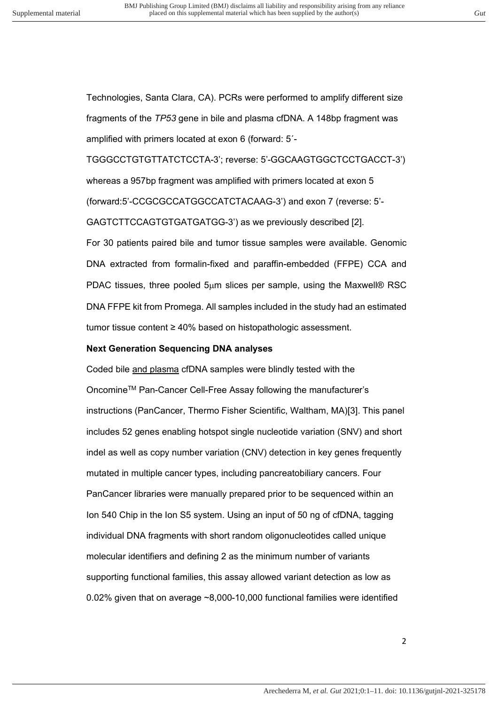Technologies, Santa Clara, CA). PCRs were performed to amplify different size fragments of the *TP53* gene in bile and plasma cfDNA. A 148bp fragment was amplified with primers located at exon 6 (forward: 5´-

TGGGCCTGTGTTATCTCCTA-3'; reverse: 5'-GGCAAGTGGCTCCTGACCT-3') whereas a 957bp fragment was amplified with primers located at exon 5 (forward:5'-CCGCGCCATGGCCATCTACAAG-3') and exon 7 (reverse: 5'- GAGTCTTCCAGTGTGATGATGG-3') as we previously described [2]. For 30 patients paired bile and tumor tissue samples were available. Genomic DNA extracted from formalin-fixed and paraffin-embedded (FFPE) CCA and PDAC tissues, three pooled  $5\mu$ m slices per sample, using the Maxwell® RSC DNA FFPE kit from Promega. All samples included in the study had an estimated tumor tissue content ≥ 40% based on histopathologic assessment.

#### **Next Generation Sequencing DNA analyses**

Coded bile and plasma cfDNA samples were blindly tested with the OncomineTM Pan-Cancer Cell-Free Assay following the manufacturer's instructions (PanCancer, Thermo Fisher Scientific, Waltham, MA)[3]. This panel includes 52 genes enabling hotspot single nucleotide variation (SNV) and short indel as well as copy number variation (CNV) detection in key genes frequently mutated in multiple cancer types, including pancreatobiliary cancers. Four PanCancer libraries were manually prepared prior to be sequenced within an Ion 540 Chip in the Ion S5 system. Using an input of 50 ng of cfDNA, tagging individual DNA fragments with short random oligonucleotides called unique molecular identifiers and defining 2 as the minimum number of variants supporting functional families, this assay allowed variant detection as low as 0.02% given that on average ~8,000-10,000 functional families were identified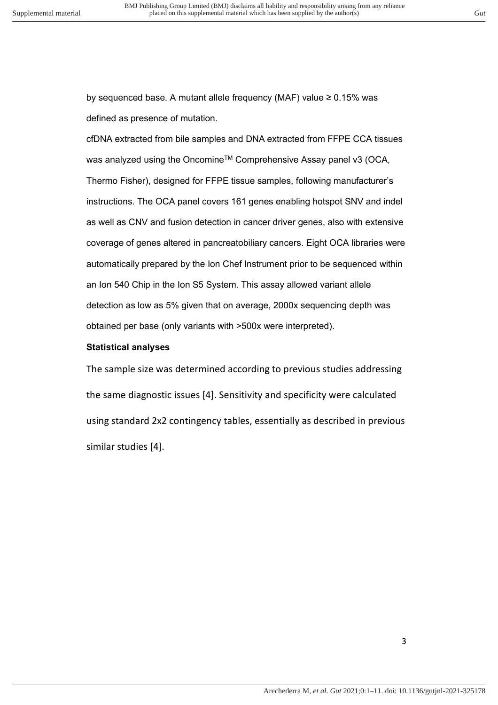by sequenced base. A mutant allele frequency (MAF) value ≥ 0.15% was defined as presence of mutation.

cfDNA extracted from bile samples and DNA extracted from FFPE CCA tissues was analyzed using the Oncomine<sup>™</sup> Comprehensive Assay panel v3 (OCA, Thermo Fisher), designed for FFPE tissue samples, following manufacturer's instructions. The OCA panel covers 161 genes enabling hotspot SNV and indel as well as CNV and fusion detection in cancer driver genes, also with extensive coverage of genes altered in pancreatobiliary cancers. Eight OCA libraries were automatically prepared by the Ion Chef Instrument prior to be sequenced within an Ion 540 Chip in the Ion S5 System. This assay allowed variant allele detection as low as 5% given that on average, 2000x sequencing depth was obtained per base (only variants with >500x were interpreted).

### **Statistical analyses**

The sample size was determined according to previous studies addressing the same diagnostic issues [4]. Sensitivity and specificity were calculated using standard 2x2 contingency tables, essentially as described in previous similar studies [4].